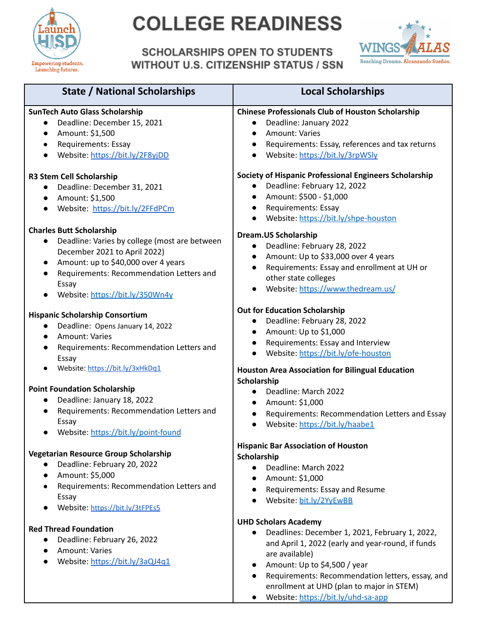

# **COLLEGE READINESS**

### **SCHOLARSHIPS OPEN TO STUDENTS WITHOUT U.S. CITIZENSHIP STATUS / SSN**



| <b>State / National Scholarships</b>                                                                                                                                                                                                                                      | <b>Local Scholarships</b>                                                                                                                                                                                                                             |
|---------------------------------------------------------------------------------------------------------------------------------------------------------------------------------------------------------------------------------------------------------------------------|-------------------------------------------------------------------------------------------------------------------------------------------------------------------------------------------------------------------------------------------------------|
| <b>SunTech Auto Glass Scholarship</b><br>Deadline: December 15, 2021<br>Amount: \$1,500<br>$\bullet$<br>Requirements: Essay<br>$\bullet$<br>Website: https://bit.ly/2F8yjDD<br>$\bullet$                                                                                  | <b>Chinese Professionals Club of Houston Scholarship</b><br>Deadline: January 2022<br><b>Amount: Varies</b><br>Requirements: Essay, references and tax returns<br>$\bullet$<br>Website: https://bit.ly/3rpWSly                                        |
| <b>R3 Stem Cell Scholarship</b><br>Deadline: December 31, 2021<br>Amount: \$1,500<br>$\bullet$<br>Website: https://bit.ly/2FFdPCm                                                                                                                                         | Society of Hispanic Professional Engineers Scholarship<br>Deadline: February 12, 2022<br>$\bullet$<br>Amount: \$500 - \$1,000<br>Requirements: Essay<br>Website: https://bit.ly/shpe-houston                                                          |
| <b>Charles Butt Scholarship</b><br>Deadline: Varies by college (most are between<br>$\bullet$<br>December 2021 to April 2022)<br>Amount: up to \$40,000 over 4 years<br>$\bullet$<br>Requirements: Recommendation Letters and<br>Essay<br>Website: https://bit.ly/350Wn4y | <b>Dream.US Scholarship</b><br>Deadline: February 28, 2022<br>$\bullet$<br>Amount: Up to \$33,000 over 4 years<br>Requirements: Essay and enrollment at UH or<br>other state colleges<br>Website: https://www.thedream.us/                            |
| <b>Hispanic Scholarship Consortium</b><br>Deadline: Opens January 14, 2022<br>$\bullet$<br>Amount: Varies<br>$\bullet$<br>Requirements: Recommendation Letters and<br>Essay                                                                                               | <b>Out for Education Scholarship</b><br>Deadline: February 28, 2022<br>$\bullet$<br>Amount: Up to \$1,000<br>Requirements: Essay and Interview<br>Website: https://bit.ly/ofe-houston                                                                 |
| Website: https://bit.ly/3xHkDq1<br><b>Point Foundation Scholarship</b><br>Deadline: January 18, 2022<br>Requirements: Recommendation Letters and<br>Essay<br>Website: https://bit.ly/point-found                                                                          | <b>Houston Area Association for Bilingual Education</b><br>Scholarship<br>Deadline: March 2022<br>$\bullet$<br>Amount: \$1,000<br>$\bullet$<br>Requirements: Recommendation Letters and Essay<br>Website: https://bit.ly/haabe1                       |
| Vegetarian Resource Group Scholarship<br>Deadline: February 20, 2022<br>$\bullet$<br>Amount: \$5,000<br>$\bullet$<br>Requirements: Recommendation Letters and<br>Essay<br>Website: https://bit.ly/3tFPEs5                                                                 | <b>Hispanic Bar Association of Houston</b><br>Scholarship<br>Deadline: March 2022<br>Amount: \$1,000<br>$\bullet$<br>Requirements: Essay and Resume<br>$\bullet$<br>Website: bit.ly/2YyEwBB                                                           |
| <b>Red Thread Foundation</b><br>Deadline: February 26, 2022<br><b>Amount: Varies</b><br>$\bullet$<br>Website: https://bit.ly/3aQJ4q1                                                                                                                                      | <b>UHD Scholars Academy</b><br>Deadlines: December 1, 2021, February 1, 2022,<br>$\bullet$<br>and April 1, 2022 (early and year-round, if funds<br>are available)<br>Amount: Up to \$4,500 / year<br>Requirements: Recommendation letters, essay, and |

enrollment at UHD (plan to major in STEM)

Website: https://bit.ly/uhd-sa-app

 $\bullet$